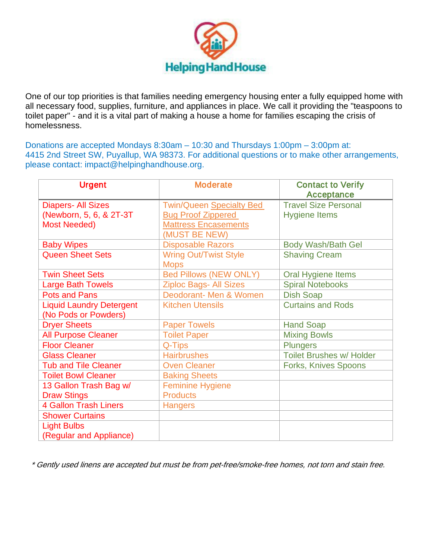

One of our top priorities is that families needing emergency housing enter a fully equipped home with all necessary food, supplies, furniture, and appliances in place. We call it providing the "teaspoons to toilet paper" - and it is a vital part of making a house a home for families escaping the crisis of homelessness.

Donations are accepted Mondays 8:30am – 10:30 and Thursdays 1:00pm – 3:00pm at: 4415 2nd Street SW, Puyallup, WA 98373. For additional questions or to make other arrangements, please contact: impact@helpinghandhouse.org.

| <b>Urgent</b>                                                                | <b>Moderate</b>                                                                                              | <b>Contact to Verify</b><br><b>Acceptance</b>       |
|------------------------------------------------------------------------------|--------------------------------------------------------------------------------------------------------------|-----------------------------------------------------|
| <b>Diapers- All Sizes</b><br>(Newborn, 5, 6, & 2T-3T)<br><b>Most Needed)</b> | <b>Twin/Queen Specialty Bed</b><br><b>Bug Proof Zippered</b><br><b>Mattress Encasements</b><br>(MUST BE NEW) | <b>Travel Size Personal</b><br><b>Hygiene Items</b> |
| <b>Baby Wipes</b>                                                            | <b>Disposable Razors</b>                                                                                     | Body Wash/Bath Gel                                  |
| <b>Queen Sheet Sets</b>                                                      | <b>Wring Out/Twist Style</b><br><b>Mops</b>                                                                  | <b>Shaving Cream</b>                                |
| <b>Twin Sheet Sets</b>                                                       | <b>Bed Pillows (NEW ONLY)</b>                                                                                | Oral Hygiene Items                                  |
| <b>Large Bath Towels</b>                                                     | <b>Ziploc Bags- All Sizes</b>                                                                                | <b>Spiral Notebooks</b>                             |
| <b>Pots and Pans</b>                                                         | Deodorant- Men & Women                                                                                       | <b>Dish Soap</b>                                    |
| <b>Liquid Laundry Detergent</b><br>(No Pods or Powders)                      | <b>Kitchen Utensils</b>                                                                                      | <b>Curtains and Rods</b>                            |
| <b>Dryer Sheets</b>                                                          | <b>Paper Towels</b>                                                                                          | <b>Hand Soap</b>                                    |
| <b>All Purpose Cleaner</b>                                                   | <b>Toilet Paper</b>                                                                                          | <b>Mixing Bowls</b>                                 |
| <b>Floor Cleaner</b>                                                         | Q-Tips                                                                                                       | <b>Plungers</b>                                     |
| <b>Glass Cleaner</b>                                                         | <b>Hairbrushes</b>                                                                                           | <b>Toilet Brushes w/ Holder</b>                     |
| <b>Tub and Tile Cleaner</b>                                                  | <b>Oven Cleaner</b>                                                                                          | Forks, Knives Spoons                                |
| <b>Toilet Bowl Cleaner</b>                                                   | <b>Baking Sheets</b>                                                                                         |                                                     |
| 13 Gallon Trash Bag w/                                                       | <b>Feminine Hygiene</b>                                                                                      |                                                     |
| <b>Draw Stings</b>                                                           | <b>Products</b>                                                                                              |                                                     |
| <b>4 Gallon Trash Liners</b>                                                 | <b>Hangers</b>                                                                                               |                                                     |
| <b>Shower Curtains</b>                                                       |                                                                                                              |                                                     |
| <b>Light Bulbs</b>                                                           |                                                                                                              |                                                     |
| (Regular and Appliance)                                                      |                                                                                                              |                                                     |

\* Gently used linens are accepted but must be from pet-free/smoke-free homes, not torn and stain free.